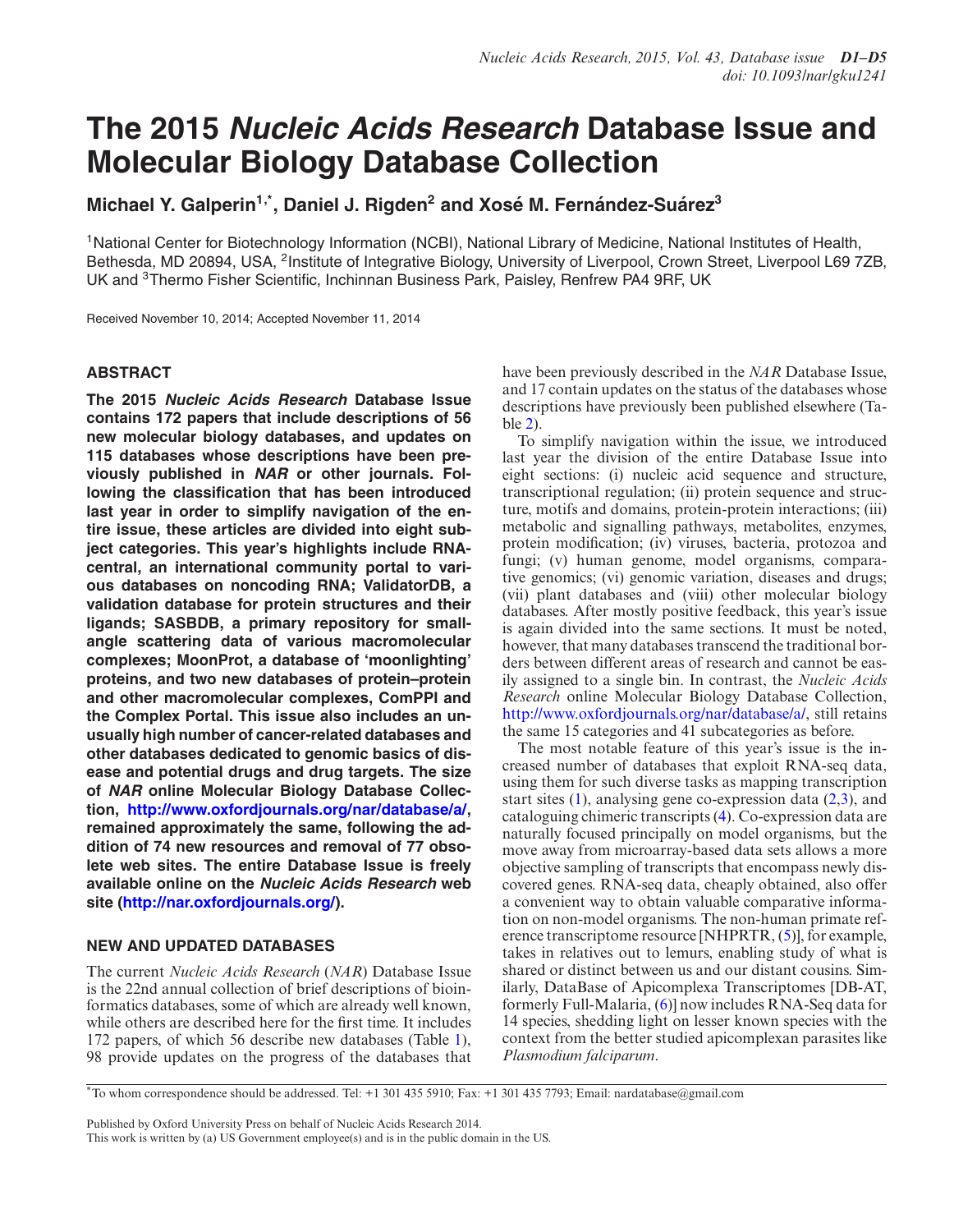# **The 2015 Nucleic Acids Research Database Issue and Molecular Biology Database Collection**

# **Michael Y. Galperin1,\*, Daniel J. Rigden2 and Xose M. Fern ´ andez-Su ´ arez ´ <sup>3</sup>**

1National Center for Biotechnology Information (NCBI), National Library of Medicine, National Institutes of Health, Bethesda, MD 20894, USA, <sup>2</sup>Institute of Integrative Biology, University of Liverpool, Crown Street, Liverpool L69 7ZB, UK and <sup>3</sup>Thermo Fisher Scientific, Inchinnan Business Park, Paisley, Renfrew PA4 9RF, UK

Received November 10, 2014; Accepted November 11, 2014

#### **ABSTRACT**

**The 2015 Nucleic Acids Research Database Issue contains 172 papers that include descriptions of 56 new molecular biology databases, and updates on 115 databases whose descriptions have been previously published in NAR or other journals. Following the classification that has been introduced last year in order to simplify navigation of the entire issue, these articles are divided into eight subject categories. This year's highlights include RNAcentral, an international community portal to various databases on noncoding RNA; ValidatorDB, a validation database for protein structures and their ligands; SASBDB, a primary repository for smallangle scattering data of various macromolecular complexes; MoonProt, a database of 'moonlighting' proteins, and two new databases of protein–protein and other macromolecular complexes, ComPPI and the Complex Portal. This issue also includes an unusually high number of cancer-related databases and other databases dedicated to genomic basics of disease and potential drugs and drug targets. The size of NAR online Molecular Biology Database Collection, [http://www.oxfordjournals.org/nar/database/a/,](http://www.oxfordjournals.org/nar/database/a/) remained approximately the same, following the addition of 74 new resources and removal of 77 obsolete web sites. The entire Database Issue is freely available online on the Nucleic Acids Research web site [\(http://nar.oxfordjournals.org/\)](http://nar.oxfordjournals.org/).**

## **NEW AND UPDATED DATABASES**

The current *Nucleic Acids Research* (*NAR*) Database Issue is the 22nd annual collection of brief descriptions of bioinformatics databases, some of which are already well known, while others are described here for the first time. It includes 172 papers, of which 56 describe new databases (Table [1\)](#page-1-0), 98 provide updates on the progress of the databases that

have been previously described in the *NAR* Database Issue, and 17 contain updates on the status of the databases whose descriptions have previously been published elsewhere (Table [2\)](#page-1-0).

To simplify navigation within the issue, we introduced last year the division of the entire Database Issue into eight sections: (i) nucleic acid sequence and structure, transcriptional regulation; (ii) protein sequence and structure, motifs and domains, protein-protein interactions; (iii) metabolic and signalling pathways, metabolites, enzymes, protein modification; (iv) viruses, bacteria, protozoa and fungi; (v) human genome, model organisms, comparative genomics; (vi) genomic variation, diseases and drugs; (vii) plant databases and (viii) other molecular biology databases. After mostly positive feedback, this year's issue is again divided into the same sections. It must be noted, however, that many databases transcend the traditional borders between different areas of research and cannot be easily assigned to a single bin. In contrast, the *Nucleic Acids Research* online Molecular Biology Database Collection, [http://www.oxfordjournals.org/nar/database/a/,](http://www.oxfordjournals.org/nar/database/a/) still retains the same 15 categories and 41 subcategories as before.

The most notable feature of this year's issue is the increased number of databases that exploit RNA-seq data, using them for such diverse tasks as mapping transcription start sites  $(1)$ , analysing gene co-expression data  $(2,3)$ , and cataloguing chimeric transcripts [\(4\)](#page-3-0). Co-expression data are naturally focused principally on model organisms, but the move away from microarray-based data sets allows a more objective sampling of transcripts that encompass newly discovered genes. RNA-seq data, cheaply obtained, also offer a convenient way to obtain valuable comparative information on non-model organisms. The non-human primate reference transcriptome resource [NHPRTR, [\(5\)](#page-3-0)], for example, takes in relatives out to lemurs, enabling study of what is shared or distinct between us and our distant cousins. Similarly, DataBase of Apicomplexa Transcriptomes [DB-AT, formerly Full-Malaria, [\(6\)](#page-3-0)] now includes RNA-Seq data for 14 species, shedding light on lesser known species with the context from the better studied apicomplexan parasites like *Plasmodium falciparum*.

Published by Oxford University Press on behalf of Nucleic Acids Research 2014.

This work is written by (a) US Government employee(s) and is in the public domain in the US.

<sup>\*</sup>To whom correspondence should be addressed. Tel: +1 301 435 5910; Fax: +1 301 435 7793; Email: nardatabase@gmail.com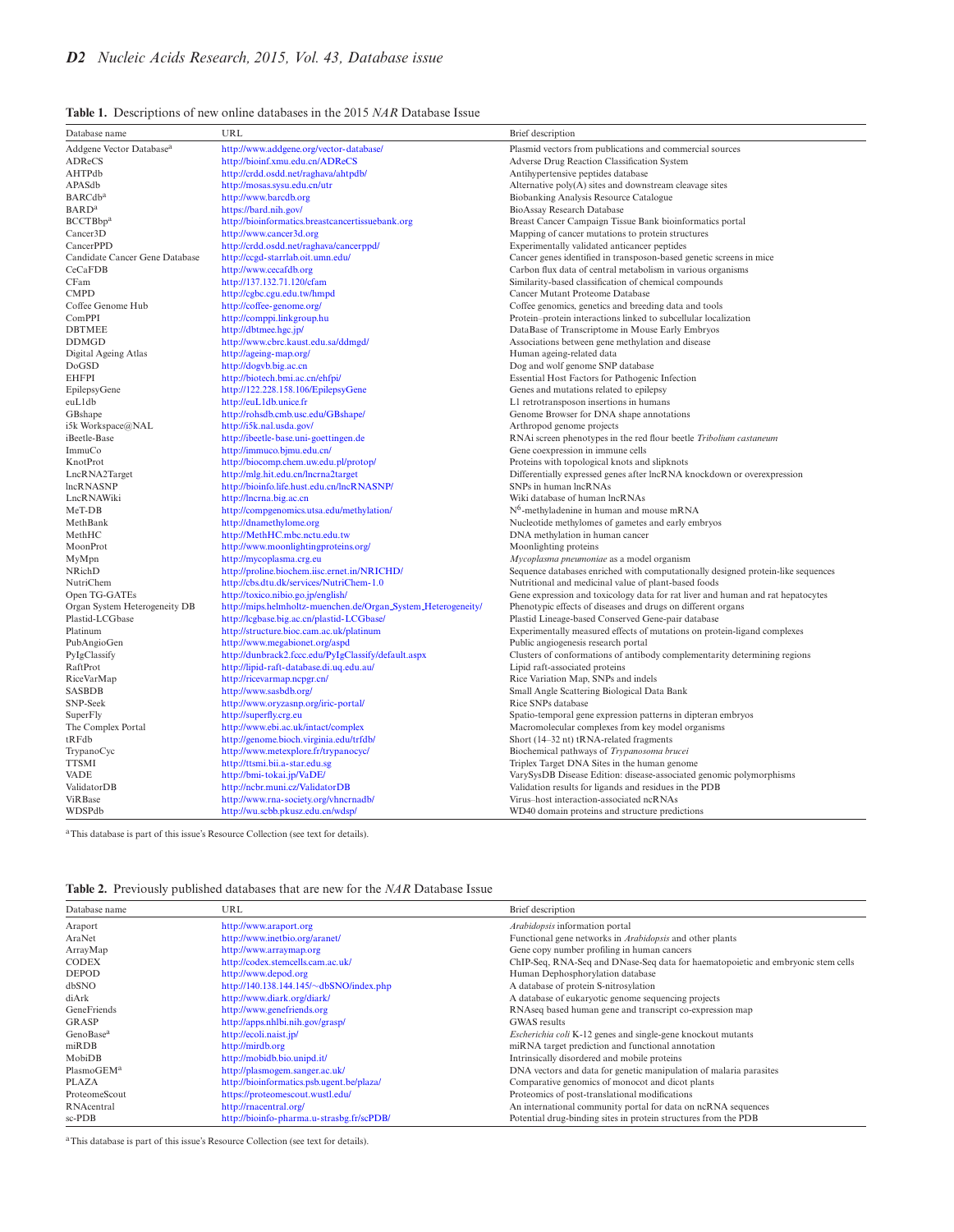<span id="page-1-0"></span>

| <b>Table 1.</b> Descriptions of new online databases in the 2015 <i>NAR</i> Database Issue |  |  |  |  |  |  |  |  |  |
|--------------------------------------------------------------------------------------------|--|--|--|--|--|--|--|--|--|
|--------------------------------------------------------------------------------------------|--|--|--|--|--|--|--|--|--|

| Database name                        | URL                                                                    | Brief description                                                                                                             |
|--------------------------------------|------------------------------------------------------------------------|-------------------------------------------------------------------------------------------------------------------------------|
| Addgene Vector Database <sup>a</sup> | http://www.addgene.org/vector-database/                                | Plasmid vectors from publications and commercial sources                                                                      |
| ADReCS                               | http://bioinf.xmu.edu.cn/ADReCS                                        | Adverse Drug Reaction Classification System                                                                                   |
| AHTPdb                               | http://crdd.osdd.net/raghava/ahtpdb/                                   | Antihypertensive peptides database                                                                                            |
| APASdb                               | http://mosas.sysu.edu.cn/utr                                           | Alternative poly(A) sites and downstream cleavage sites                                                                       |
| <b>BARCdb</b> <sup>a</sup>           | http://www.barcdb.org                                                  | Biobanking Analysis Resource Catalogue                                                                                        |
| <b>BARD</b> <sup>a</sup>             | https://bard.nih.gov/                                                  | BioAssay Research Database                                                                                                    |
| BCCTBbp <sup>a</sup>                 | http://bioinformatics.breastcancertissuebank.org                       | Breast Cancer Campaign Tissue Bank bioinformatics portal                                                                      |
| Cancer3D                             | http://www.cancer3d.org                                                | Mapping of cancer mutations to protein structures                                                                             |
| CancerPPD                            | http://crdd.osdd.net/raghava/cancerppd/                                | Experimentally validated anticancer peptides                                                                                  |
| Candidate Cancer Gene Database       | http://ccgd-starrlab.oit.umn.edu/                                      | Cancer genes identified in transposon-based genetic screens in mice                                                           |
| CeCaFDB                              | http://www.cecafdb.org                                                 | Carbon flux data of central metabolism in various organisms                                                                   |
| CFam                                 | http://137.132.71.120/cfam                                             | Similarity-based classification of chemical compounds                                                                         |
| <b>CMPD</b>                          | http://cgbc.cgu.edu.tw/hmpd                                            | Cancer Mutant Proteome Database                                                                                               |
| Coffee Genome Hub                    | http://coffee-genome.org/                                              | Coffee genomics, genetics and breeding data and tools                                                                         |
| ComPPI                               | http://comppi.linkgroup.hu                                             | Protein-protein interactions linked to subcellular localization                                                               |
| <b>DBTMEE</b>                        | http://dbtmee.hgc.jp/                                                  | DataBase of Transcriptome in Mouse Early Embryos                                                                              |
| <b>DDMGD</b>                         | http://www.cbrc.kaust.edu.sa/ddmgd/                                    | Associations between gene methylation and disease                                                                             |
| Digital Ageing Atlas                 | http://ageing-map.org/                                                 | Human ageing-related data                                                                                                     |
| DoGSD                                | http://dogvb.big.ac.cn                                                 | Dog and wolf genome SNP database                                                                                              |
| <b>EHFPI</b>                         | http://biotech.bmi.ac.cn/ehfpi/                                        | Essential Host Factors for Pathogenic Infection                                                                               |
| EpilepsyGene                         | http://122.228.158.106/EpilepsyGene                                    | Genes and mutations related to epilepsy                                                                                       |
| euL1db                               | http://euL1db.unice.fr                                                 | L1 retrotransposon insertions in humans                                                                                       |
| GBshape                              | http://rohsdb.cmb.usc.edu/GBshape/                                     | Genome Browser for DNA shape annotations                                                                                      |
| i5k Workspace@NAL                    | http://i5k.nal.usda.gov/                                               | Arthropod genome projects                                                                                                     |
| iBeetle-Base                         | http://ibeetle-base.uni-goettingen.de                                  | RNAi screen phenotypes in the red flour beetle Tribolium castaneum                                                            |
| ImmuCo                               | http://immuco.bjmu.edu.cn/                                             | Gene coexpression in immune cells                                                                                             |
| KnotProt                             | http://biocomp.chem.uw.edu.pl/protop/                                  | Proteins with topological knots and slipknots                                                                                 |
| LncRNA2Target                        | http://mlg.hit.edu.cn/lncrna2target                                    | Differentially expressed genes after lncRNA knockdown or overexpression                                                       |
| <b>lncRNASNP</b>                     | http://bioinfo.life.hust.edu.cn/lncRNASNP/                             | SNPs in human lncRNAs                                                                                                         |
| LncRNAWiki                           | http://lncrna.big.ac.cn                                                | Wiki database of human lncRNAs                                                                                                |
| MeT-DB                               | http://compgenomics.utsa.edu/methylation/                              | $N6$ -methyladenine in human and mouse mRNA                                                                                   |
| MethBank                             | http://dnamethylome.org                                                | Nucleotide methylomes of gametes and early embryos                                                                            |
| MethHC                               | http://MethHC.mbc.nctu.edu.tw                                          | DNA methylation in human cancer                                                                                               |
| MoonProt                             | http://www.moonlightingproteins.org/                                   | Moonlighting proteins                                                                                                         |
| MyMpn                                | http://mycoplasma.crg.eu                                               | Mycoplasma pneumoniae as a model organism                                                                                     |
| NRichD                               | http://proline.biochem.iisc.ernet.in/NRICHD/                           | Sequence databases enriched with computationally designed protein-like sequences                                              |
| NutriChem                            | http://cbs.dtu.dk/services/NutriChem-1.0                               | Nutritional and medicinal value of plant-based foods                                                                          |
| Open TG-GATEs                        | http://toxico.nibio.go.jp/english/                                     | Gene expression and toxicology data for rat liver and human and rat hepatocytes                                               |
| Organ System Heterogeneity DB        | http://mips.helmholtz-muenchen.de/Organ_System_Heterogeneity/          | Phenotypic effects of diseases and drugs on different organs                                                                  |
| Plastid-LCGbase                      | http://lcgbase.big.ac.cn/plastid-LCGbase/                              | Plastid Lineage-based Conserved Gene-pair database                                                                            |
| Platinum                             | http://structure.bioc.cam.ac.uk/platinum                               | Experimentally measured effects of mutations on protein-ligand complexes                                                      |
| PubAngioGen                          | http://www.megabionet.org/aspd                                         | Public angiogenesis research portal                                                                                           |
| PyIgClassify                         | http://dunbrack2.fccc.edu/PyIgClassify/default.aspx                    | Clusters of conformations of antibody complementarity determining regions                                                     |
| RaftProt                             | http://lipid-raft-database.di.uq.edu.au/                               | Lipid raft-associated proteins                                                                                                |
| RiceVarMap                           | http://ricevarmap.ncpgr.cn/                                            | Rice Variation Map, SNPs and indels                                                                                           |
| <b>SASBDB</b>                        | http://www.sasbdb.org/                                                 | Small Angle Scattering Biological Data Bank<br>Rice SNPs database                                                             |
| SNP-Seek                             | http://www.oryzasnp.org/iric-portal/                                   |                                                                                                                               |
| SuperFly                             | http://superfly.crg.eu<br>http://www.ebi.ac.uk/intact/complex          | Spatio-temporal gene expression patterns in dipteran embryos                                                                  |
| The Complex Portal                   |                                                                        | Macromolecular complexes from key model organisms                                                                             |
| tRFdb                                | http://genome.bioch.virginia.edu/trfdb/                                | Short (14-32 nt) tRNA-related fragments                                                                                       |
| TrypanoCyc                           | http://www.metexplore.fr/trypanocyc/<br>http://ttsmi.bii.a-star.edu.sg | Biochemical pathways of Trypanosoma brucei                                                                                    |
| <b>TTSMI</b><br>VADE                 | http://bmi-tokai.jp/VaDE/                                              | Triplex Target DNA Sites in the human genome                                                                                  |
| ValidatorDB                          | http://ncbr.muni.cz/ValidatorDB                                        | VarySysDB Disease Edition: disease-associated genomic polymorphisms<br>Validation results for ligands and residues in the PDB |
| <b>ViRBase</b>                       | http://www.rna-society.org/vhncrnadb/                                  | Virus-host interaction-associated ncRNAs                                                                                      |
|                                      | http://wu.scbb.pkusz.edu.cn/wdsp/                                      |                                                                                                                               |
| WDSPdb                               |                                                                        | WD40 domain proteins and structure predictions                                                                                |

<sup>a</sup>This database is part of this issue's Resource Collection (see text for details).

|  | <b>Table 2.</b> Previously published databases that are new for the <i>NAR</i> Database Issue |
|--|-----------------------------------------------------------------------------------------------|

| Database name          | URL                                       | Brief description                                                                |
|------------------------|-------------------------------------------|----------------------------------------------------------------------------------|
| Araport                | http://www.araport.org                    | Arabidopsis information portal                                                   |
| AraNet                 | http://www.inetbio.org/aranet/            | Functional gene networks in Arabidopsis and other plants                         |
| ArrayMap               | http://www.arraymap.org                   | Gene copy number profiling in human cancers                                      |
| <b>CODEX</b>           | http://codex.stemcells.cam.ac.uk/         | ChIP-Seq, RNA-Seq and DNase-Seq data for haematopoietic and embryonic stem cells |
| <b>DEPOD</b>           | http://www.depod.org                      | Human Dephosphorylation database                                                 |
| dbSNO                  | http://140.138.144.145/~dbSNO/index.php   | A database of protein S-nitrosylation                                            |
| diArk                  | http://www.diark.org/diark/               | A database of eukaryotic genome sequencing projects                              |
| GeneFriends            | http://www.genefriends.org                | RNAseq based human gene and transcript co-expression map                         |
| GRASP                  | http://apps.nhlbi.nih.gov/grasp/          | <b>GWAS</b> results                                                              |
| GenoBase <sup>a</sup>  | http://ecoli.naist.jp/                    | <i>Escherichia coli</i> K-12 genes and single-gene knockout mutants              |
| $m$ <sub>RDB</sub>     | http://mirdb.org                          | miRNA target prediction and functional annotation                                |
| MobiDB                 | http://mobidb.bio.unipd.it/               | Intrinsically disordered and mobile proteins                                     |
| PlasmoGEM <sup>a</sup> | http://plasmogem.sanger.ac.uk/            | DNA vectors and data for genetic manipulation of malaria parasites               |
| PLAZA                  | http://bioinformatics.psb.ugent.be/plaza/ | Comparative genomics of monocot and dicot plants                                 |
| ProteomeScout          | https://proteomescout.wustl.edu/          | Proteomics of post-translational modifications                                   |
| RNAcentral             | http://rnacentral.org/                    | An international community portal for data on ncRNA sequences                    |
| $sc-PDB$               | http://bioinfo-pharma.u-strasbg.fr/scPDB/ | Potential drug-binding sites in protein structures from the PDB                  |

aThis database is part of this issue's Resource Collection (see text for details).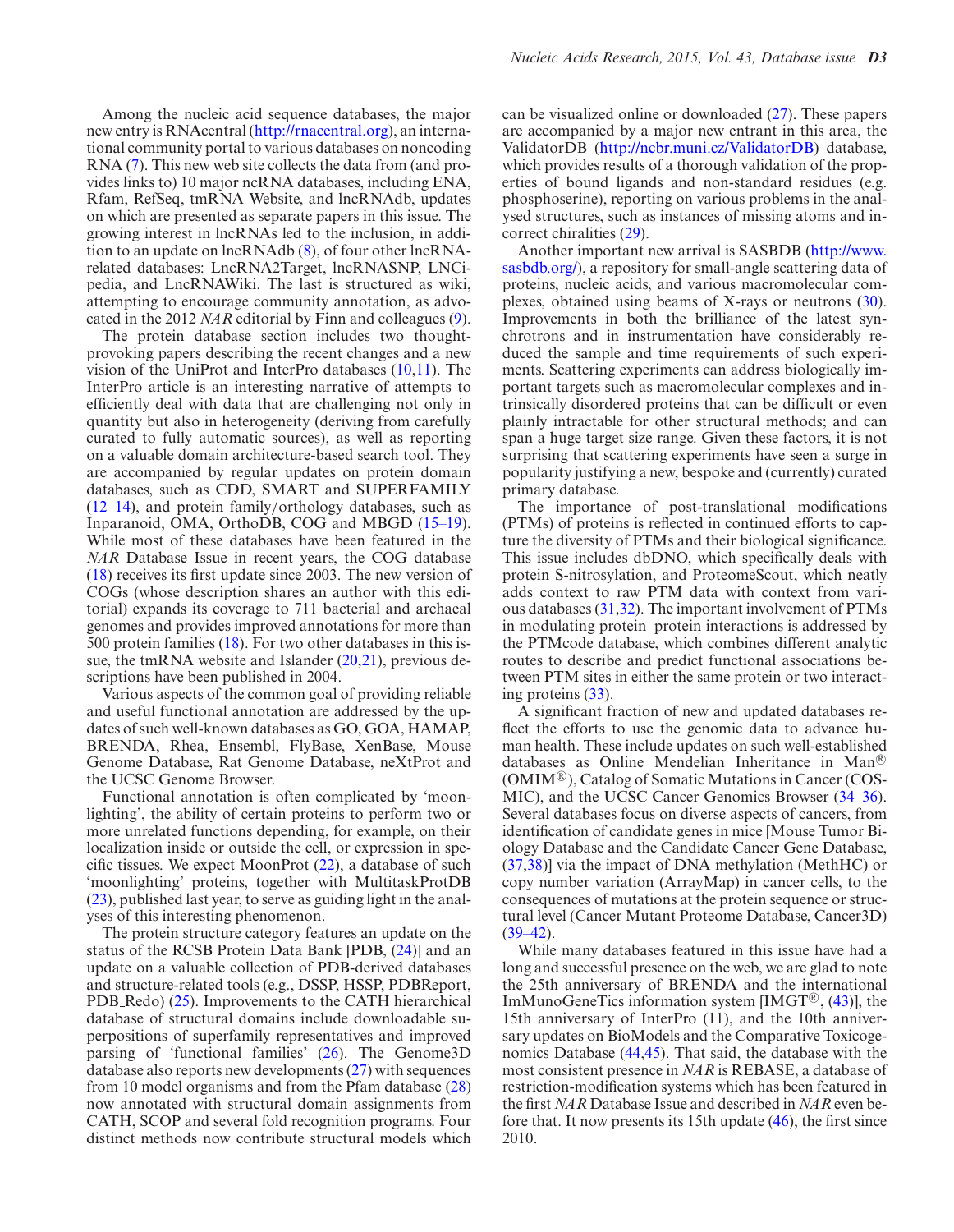Among the nucleic acid sequence databases, the major new entry is RNAcentral [\(http://rnacentral.org\)](http://rnacentral.org), an international community portal to various databases on noncoding RNA [\(7\)](#page-3-0). This new web site collects the data from (and provides links to) 10 major ncRNA databases, including ENA, Rfam, RefSeq, tmRNA Website, and lncRNAdb, updates on which are presented as separate papers in this issue. The growing interest in lncRNAs led to the inclusion, in addition to an update on lncRNAdb [\(8\)](#page-3-0), of four other lncRNArelated databases: LncRNA2Target, lncRNASNP, LNCipedia, and LncRNAWiki. The last is structured as wiki, attempting to encourage community annotation, as advocated in the 2012 *NAR* editorial by Finn and colleagues [\(9\)](#page-3-0).

The protein database section includes two thoughtprovoking papers describing the recent changes and a new vision of the UniProt and InterPro databases  $(10,11)$ . The InterPro article is an interesting narrative of attempts to efficiently deal with data that are challenging not only in quantity but also in heterogeneity (deriving from carefully curated to fully automatic sources), as well as reporting on a valuable domain architecture-based search tool. They are accompanied by regular updates on protein domain databases, such as CDD, SMART and SUPERFAMILY [\(12–14\)](#page-3-0), and protein family/orthology databases, such as Inparanoid, OMA, OrthoDB, COG and MBGD [\(15–19\)](#page-3-0). While most of these databases have been featured in the *NAR* Database Issue in recent years, the COG database [\(18\)](#page-3-0) receives its first update since 2003. The new version of COGs (whose description shares an author with this editorial) expands its coverage to 711 bacterial and archaeal genomes and provides improved annotations for more than 500 protein families [\(18\)](#page-3-0). For two other databases in this is-sue, the tmRNA website and Islander [\(20,21\)](#page-4-0), previous descriptions have been published in 2004.

Various aspects of the common goal of providing reliable and useful functional annotation are addressed by the updates of such well-known databases as GO, GOA, HAMAP, BRENDA, Rhea, Ensembl, FlyBase, XenBase, Mouse Genome Database, Rat Genome Database, neXtProt and the UCSC Genome Browser.

Functional annotation is often complicated by 'moonlighting', the ability of certain proteins to perform two or more unrelated functions depending, for example, on their localization inside or outside the cell, or expression in specific tissues. We expect MoonProt  $(22)$ , a database of such 'moonlighting' proteins, together with MultitaskProtDB [\(23\)](#page-4-0), published last year, to serve as guiding light in the analyses of this interesting phenomenon.

The protein structure category features an update on the status of the RCSB Protein Data Bank [PDB, [\(24\)](#page-4-0)] and an update on a valuable collection of PDB-derived databases and structure-related tools (e.g., DSSP, HSSP, PDBReport, PDB Redo) [\(25\)](#page-4-0). Improvements to the CATH hierarchical database of structural domains include downloadable superpositions of superfamily representatives and improved parsing of 'functional families' [\(26\)](#page-4-0). The Genome3D database also reports new developments [\(27\)](#page-4-0) with sequences from 10 model organisms and from the Pfam database [\(28\)](#page-4-0) now annotated with structural domain assignments from CATH, SCOP and several fold recognition programs. Four distinct methods now contribute structural models which can be visualized online or downloaded [\(27\)](#page-4-0). These papers are accompanied by a major new entrant in this area, the ValidatorDB [\(http://ncbr.muni.cz/ValidatorDB\)](http://ncbr.muni.cz/ValidatorDB) database, which provides results of a thorough validation of the properties of bound ligands and non-standard residues (e.g. phosphoserine), reporting on various problems in the analysed structures, such as instances of missing atoms and incorrect chiralities [\(29\)](#page-4-0).

Another important new arrival is SASBDB (http://www. [sasbdb.org/\), a repository for small-angle scattering data of](http://www.sasbdb.org/) proteins, nucleic acids, and various macromolecular complexes, obtained using beams of X-rays or neutrons [\(30\)](#page-4-0). Improvements in both the brilliance of the latest synchrotrons and in instrumentation have considerably reduced the sample and time requirements of such experiments. Scattering experiments can address biologically important targets such as macromolecular complexes and intrinsically disordered proteins that can be difficult or even plainly intractable for other structural methods; and can span a huge target size range. Given these factors, it is not surprising that scattering experiments have seen a surge in popularity justifying a new, bespoke and (currently) curated primary database.

The importance of post-translational modifications (PTMs) of proteins is reflected in continued efforts to capture the diversity of PTMs and their biological significance. This issue includes dbDNO, which specifically deals with protein S-nitrosylation, and ProteomeScout, which neatly adds context to raw PTM data with context from various databases [\(31,32\)](#page-4-0). The important involvement of PTMs in modulating protein–protein interactions is addressed by the PTMcode database, which combines different analytic routes to describe and predict functional associations between PTM sites in either the same protein or two interacting proteins [\(33\)](#page-4-0).

A significant fraction of new and updated databases reflect the efforts to use the genomic data to advance human health. These include updates on such well-established databases as Online Mendelian Inheritance in Man<sup>®</sup>  $(OMIM^{\circledR})$ , Catalog of Somatic Mutations in Cancer (COS-MIC), and the UCSC Cancer Genomics Browser [\(34–36\)](#page-4-0). Several databases focus on diverse aspects of cancers, from identification of candidate genes in mice [Mouse Tumor Biology Database and the Candidate Cancer Gene Database, [\(37,38\)](#page-4-0)] via the impact of DNA methylation (MethHC) or copy number variation (ArrayMap) in cancer cells, to the consequences of mutations at the protein sequence or structural level (Cancer Mutant Proteome Database, Cancer3D)  $(39-42)$ .

While many databases featured in this issue have had a long and successful presence on the web, we are glad to note the 25th anniversary of BRENDA and the international ImMunoGeneTics information system [IMGT<sup>®</sup>,  $(43)$ ], the 15th anniversary of InterPro (11), and the 10th anniversary updates on BioModels and the Comparative Toxicogenomics Database [\(44,45\)](#page-4-0). That said, the database with the most consistent presence in *NAR* is REBASE, a database of restriction-modification systems which has been featured in the first *NAR* Database Issue and described in *NAR* even before that. It now presents its 15th update [\(46\)](#page-4-0), the first since 2010.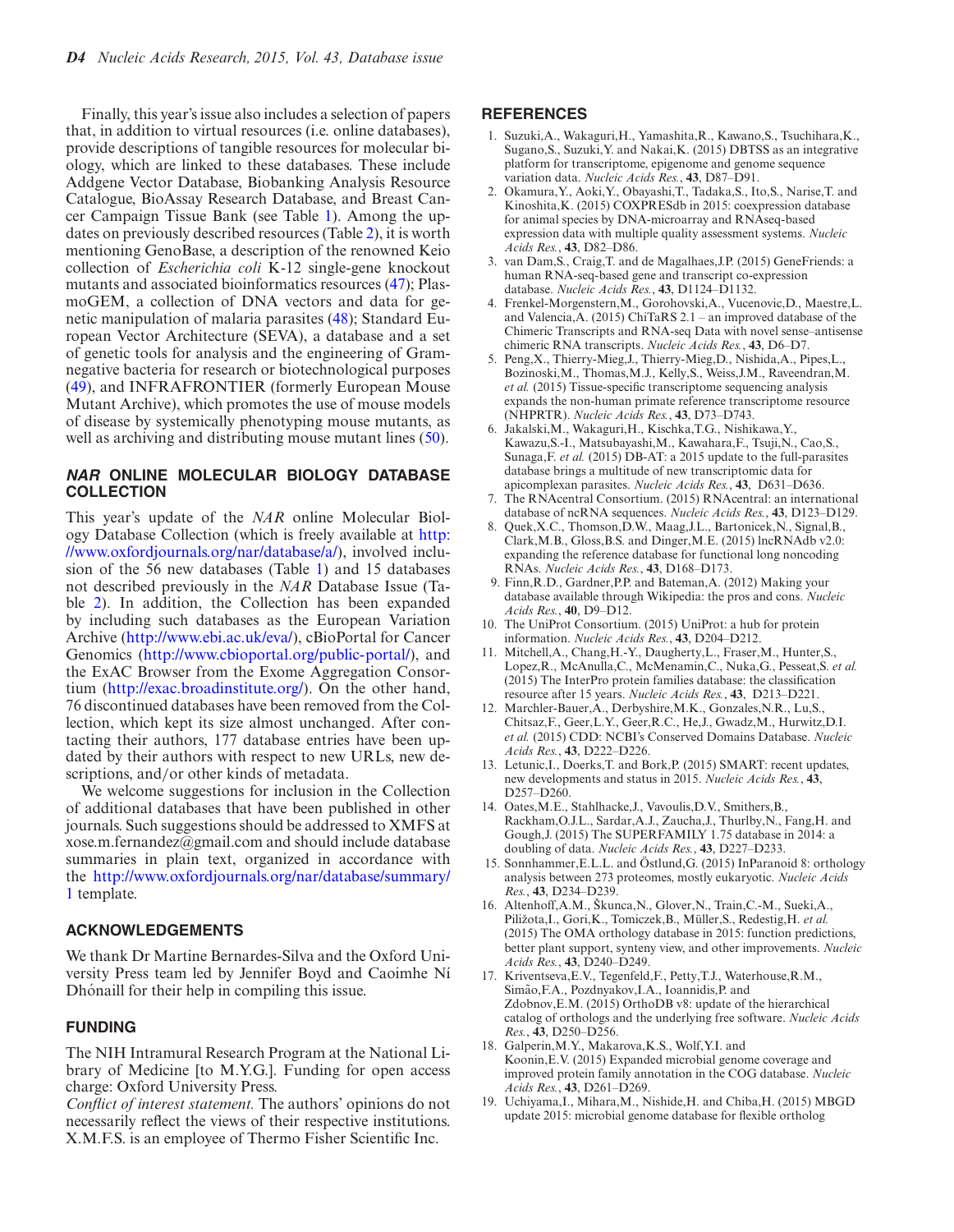<span id="page-3-0"></span>Finally, this year's issue also includes a selection of papers that, in addition to virtual resources (i.e. online databases), provide descriptions of tangible resources for molecular biology, which are linked to these databases. These include Addgene Vector Database, Biobanking Analysis Resource Catalogue, BioAssay Research Database, and Breast Cancer Campaign Tissue Bank (see Table [1\)](#page-1-0). Among the updates on previously described resources (Table [2\)](#page-1-0), it is worth mentioning GenoBase, a description of the renowned Keio collection of *Escherichia coli* K-12 single-gene knockout mutants and associated bioinformatics resources [\(47\)](#page-4-0); PlasmoGEM, a collection of DNA vectors and data for genetic manipulation of malaria parasites [\(48\)](#page-4-0); Standard European Vector Architecture (SEVA), a database and a set of genetic tools for analysis and the engineering of Gramnegative bacteria for research or biotechnological purposes [\(49\)](#page-4-0), and INFRAFRONTIER (formerly European Mouse Mutant Archive), which promotes the use of mouse models of disease by systemically phenotyping mouse mutants, as well as archiving and distributing mouse mutant lines [\(50\)](#page-4-0).

#### **NAR ONLINE MOLECULAR BIOLOGY DATABASE COLLECTION**

This year's update of the *NAR* online Molecular Biology Database Collection (which is freely available at http: [//www.oxfordjournals.org/nar/database/a/\), involved inclu](http://www.oxfordjournals.org/nar/database/a/)sion of the 56 new databases (Table [1\)](#page-1-0) and 15 databases not described previously in the *NAR* Database Issue (Table [2\)](#page-1-0). In addition, the Collection has been expanded by including such databases as the European Variation Archive [\(http://www.ebi.ac.uk/eva/\)](http://www.ebi.ac.uk/eva/), cBioPortal for Cancer Genomics [\(http://www.cbioportal.org/public-portal/\)](http://www.cbioportal.org/public-portal/), and the ExAC Browser from the Exome Aggregation Consortium [\(http://exac.broadinstitute.org/\)](http://exac.broadinstitute.org/). On the other hand, 76 discontinued databases have been removed from the Collection, which kept its size almost unchanged. After contacting their authors, 177 database entries have been updated by their authors with respect to new URLs, new descriptions, and/or other kinds of metadata.

We welcome suggestions for inclusion in the Collection of additional databases that have been published in other journals. Such suggestions should be addressed to XMFS at xose.m.fernandez@gmail.com and should include database summaries in plain text, organized in accordance with the [http://www.oxfordjournals.org/nar/database/summary/](http://www.oxfordjournals.org/nar/database/summary/1) 1 template.

#### **ACKNOWLEDGEMENTS**

We thank Dr Martine Bernardes-Silva and the Oxford University Press team led by Jennifer Boyd and Caoimhe N´ı Dhónaill for their help in compiling this issue.

## **FUNDING**

The NIH Intramural Research Program at the National Library of Medicine [to M.Y.G.]. Funding for open access charge: Oxford University Press.

*Conflict of interest statement.* The authors' opinions do not necessarily reflect the views of their respective institutions. X.M.F.S. is an employee of Thermo Fisher Scientific Inc.

#### **REFERENCES**

- 1. Suzuki,A., Wakaguri,H., Yamashita,R., Kawano,S., Tsuchihara,K., Sugano,S., Suzuki,Y. and Nakai,K. (2015) DBTSS as an integrative platform for transcriptome, epigenome and genome sequence variation data. *Nucleic Acids Res.*, **43**, D87–D91.
- 2. Okamura,Y., Aoki,Y., Obayashi,T., Tadaka,S., Ito,S., Narise,T. and Kinoshita,K. (2015) COXPRESdb in 2015: coexpression database for animal species by DNA-microarray and RNAseq-based expression data with multiple quality assessment systems. *Nucleic Acids Res.*, **43**, D82–D86.
- 3. van Dam,S., Craig,T. and de Magalhaes,J.P. (2015) GeneFriends: a human RNA-seq-based gene and transcript co-expression database. *Nucleic Acids Res.*, **43**, D1124–D1132.
- 4. Frenkel-Morgenstern,M., Gorohovski,A., Vucenovic,D., Maestre,L. and Valencia,A. (2015) ChiTaRS 2.1 – an improved database of the Chimeric Transcripts and RNA-seq Data with novel sense–antisense chimeric RNA transcripts. *Nucleic Acids Res.*, **43**, D6–D7.
- 5. Peng,X., Thierry-Mieg,J., Thierry-Mieg,D., Nishida,A., Pipes,L., Bozinoski,M., Thomas,M.J., Kelly,S., Weiss,J.M., Raveendran,M. *et al.* (2015) Tissue-specific transcriptome sequencing analysis expands the non-human primate reference transcriptome resource (NHPRTR). *Nucleic Acids Res.*, **43**, D73–D743.
- 6. Jakalski,M., Wakaguri,H., Kischka,T.G., Nishikawa,Y., Kawazu,S.-I., Matsubayashi,M., Kawahara,F., Tsuji,N., Cao,S., Sunaga,F. *et al.* (2015) DB-AT: a 2015 update to the full-parasites database brings a multitude of new transcriptomic data for apicomplexan parasites. *Nucleic Acids Res.*, **43**, D631–D636.
- The RNAcentral Consortium. (2015) RNAcentral: an international database of ncRNA sequences. *Nucleic Acids Res.*, **43**, D123–D129.
- 8. Quek,X.C., Thomson,D.W., Maag,J.L., Bartonicek,N., Signal,B., Clark,M.B., Gloss,B.S. and Dinger,M.E. (2015) lncRNAdb v2.0: expanding the reference database for functional long noncoding RNAs. *Nucleic Acids Res.*, **43**, D168–D173.
- 9. Finn,R.D., Gardner,P.P. and Bateman,A. (2012) Making your database available through Wikipedia: the pros and cons. *Nucleic Acids Res.*, **40**, D9–D12.
- 10. The UniProt Consortium. (2015) UniProt: a hub for protein information. *Nucleic Acids Res.*, **43**, D204–D212.
- 11. Mitchell,A., Chang,H.-Y., Daugherty,L., Fraser,M., Hunter,S., Lopez,R., McAnulla,C., McMenamin,C., Nuka,G., Pesseat,S. *et al.* (2015) The InterPro protein families database: the classification resource after 15 years. *Nucleic Acids Res.*, **43**, D213–D221.
- 12. Marchler-Bauer,A., Derbyshire,M.K., Gonzales,N.R., Lu,S., Chitsaz,F., Geer,L.Y., Geer,R.C., He,J., Gwadz,M., Hurwitz,D.I. *et al.* (2015) CDD: NCBI's Conserved Domains Database. *Nucleic Acids Res.*, **43**, D222–D226.
- 13. Letunic,I., Doerks,T. and Bork,P. (2015) SMART: recent updates, new developments and status in 2015. *Nucleic Acids Res.*, **43**, D<sub>257</sub>–D<sub>260</sub>.
- 14. Oates,M.E., Stahlhacke,J., Vavoulis,D.V., Smithers,B., Rackham,O.J.L., Sardar,A.J., Zaucha,J., Thurlby,N., Fang,H. and Gough,J. (2015) The SUPERFAMILY 1.75 database in 2014: a doubling of data. *Nucleic Acids Res.*, **43**, D227–D233.
- 15. Sonnhammer, E.L.L. and Östlund, G. (2015) InParanoid 8: orthology analysis between 273 proteomes, mostly eukaryotic. *Nucleic Acids Res.*, **43**, D234–D239.
- 16. Altenhoff, A.M., Škunca, N., Glover, N., Train, C.-M., Sueki, A., Piližota, I., Gori, K., Tomiczek, B., Müller, S., Redestig, H. et al. (2015) The OMA orthology database in 2015: function predictions, better plant support, synteny view, and other improvements. *Nucleic Acids Res.*, **43**, D240–D249.
- 17. Kriventseva,E.V., Tegenfeld,F., Petty,T.J., Waterhouse,R.M., Simão, F.A., Pozdnyakov, I.A., Ioannidis, P. and Zdobnov,E.M. (2015) OrthoDB v8: update of the hierarchical catalog of orthologs and the underlying free software. *Nucleic Acids Res.*, **43**, D250–D256.
- 18. Galperin,M.Y., Makarova,K.S., Wolf,Y.I. and Koonin,E.V. (2015) Expanded microbial genome coverage and improved protein family annotation in the COG database. *Nucleic Acids Res.*, **43**, D261–D269.
- 19. Uchiyama,I., Mihara,M., Nishide,H. and Chiba,H. (2015) MBGD update 2015: microbial genome database for flexible ortholog